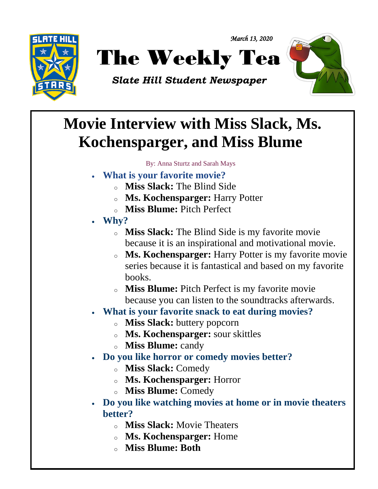



*Slate Hill Student Newspaper*



## $\overline{\phantom{a}}$ **Movie Interview with Miss Slack, Ms. Kochensparger, and Miss Blume**

By: Anna Sturtz and Sarah Mays

- **What is your favorite movie?**
	- <sup>o</sup> **Miss Slack:** The Blind Side
	- <sup>o</sup> **Ms. Kochensparger:** Harry Potter
	- <sup>o</sup> **Miss Blume:** Pitch Perfect
- **Why?**
	- <sup>o</sup> **Miss Slack:** The Blind Side is my favorite movie because it is an inspirational and motivational movie.

*March 13, 2020* 

- <sup>o</sup> **Ms. Kochensparger:** Harry Potter is my favorite movie series because it is fantastical and based on my favorite books.
- <sup>o</sup> **Miss Blume:** Pitch Perfect is my favorite movie because you can listen to the soundtracks afterwards.
- **What is your favorite snack to eat during movies?**
	- <sup>o</sup> **Miss Slack:** buttery popcorn
	- <sup>o</sup> **Ms. Kochensparger:** sour skittles
	- <sup>o</sup> **Miss Blume:** candy
- **Do you like horror or comedy movies better?**
	- <sup>o</sup> **Miss Slack:** Comedy
	- <sup>o</sup> **Ms. Kochensparger:** Horror
	- <sup>o</sup> **Miss Blume:** Comedy
- **Do you like watching movies at home or in movie theaters better?**
	- <sup>o</sup> **Miss Slack:** Movie Theaters
	- <sup>o</sup> **Ms. Kochensparger:** Home
	- <sup>o</sup> **Miss Blume: Both**